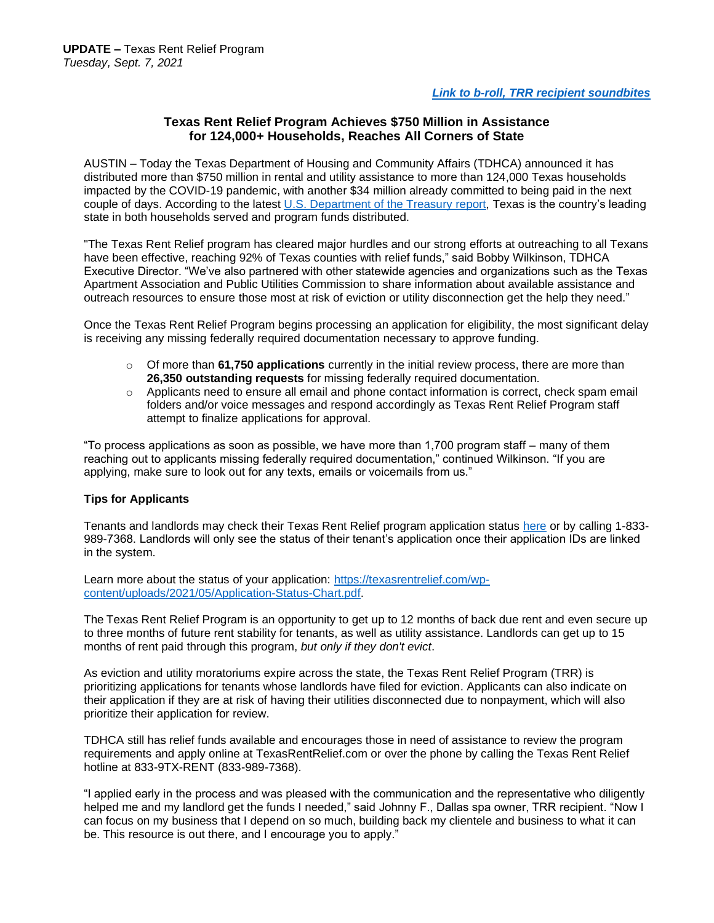## **Texas Rent Relief Program Achieves \$750 Million in Assistance for 124,000+ Households, Reaches All Corners of State**

AUSTIN – Today the Texas Department of Housing and Community Affairs (TDHCA) announced it has distributed more than \$750 million in rental and utility assistance to more than 124,000 Texas households impacted by the COVID-19 pandemic, with another \$34 million already committed to being paid in the next couple of days. According to the latest [U.S. Department of the Treasury](https://fiscal.treasury.gov/files/reports-statements/mts/mts0721.pdf) report, Texas is the country's leading state in both households served and program funds distributed.

"The Texas Rent Relief program has cleared major hurdles and our strong efforts at outreaching to all Texans have been effective, reaching 92% of Texas counties with relief funds," said Bobby Wilkinson, TDHCA Executive Director. "We've also partnered with other statewide agencies and organizations such as the Texas Apartment Association and Public Utilities Commission to share information about available assistance and outreach resources to ensure those most at risk of eviction or utility disconnection get the help they need."

Once the Texas Rent Relief Program begins processing an application for eligibility, the most significant delay is receiving any missing federally required documentation necessary to approve funding.

- o Of more than **61,750 applications** currently in the initial review process, there are more than **26,350 outstanding requests** for missing federally required documentation.
- $\circ$  Applicants need to ensure all email and phone contact information is correct, check spam email folders and/or voice messages and respond accordingly as Texas Rent Relief Program staff attempt to finalize applications for approval.

"To process applications as soon as possible, we have more than 1,700 program staff – many of them reaching out to applicants missing federally required documentation," continued Wilkinson. "If you are applying, make sure to look out for any texts, emails or voicemails from us."

## **Tips for Applicants**

Tenants and landlords may check their Texas Rent Relief program application status [here](https://hornellp-tx.neighborlysoftware.com/texasrentrelief/participant) or by calling 1-833- 989-7368. Landlords will only see the status of their tenant's application once their application IDs are linked in the system.

Learn more about the status of your application: [https://texasrentrelief.com/wp](https://texasrentrelief.com/wp-content/uploads/2021/05/Application-Status-Chart.pdf)[content/uploads/2021/05/Application-Status-Chart.pdf.](https://texasrentrelief.com/wp-content/uploads/2021/05/Application-Status-Chart.pdf)

The Texas Rent Relief Program is an opportunity to get up to 12 months of back due rent and even secure up to three months of future rent stability for tenants, as well as utility assistance. Landlords can get up to 15 months of rent paid through this program, *but only if they don't evict*.

As eviction and utility moratoriums expire across the state, the Texas Rent Relief Program (TRR) is prioritizing applications for tenants whose landlords have filed for eviction. Applicants can also indicate on their application if they are at risk of having their utilities disconnected due to nonpayment, which will also prioritize their application for review.

TDHCA still has relief funds available and encourages those in need of assistance to review the program requirements and apply online at TexasRentRelief.com or over the phone by calling the Texas Rent Relief hotline at 833-9TX-RENT (833-989-7368).

"I applied early in the process and was pleased with the communication and the representative who diligently helped me and my landlord get the funds I needed," said Johnny F., Dallas spa owner, TRR recipient. "Now I can focus on my business that I depend on so much, building back my clientele and business to what it can be. This resource is out there, and I encourage you to apply."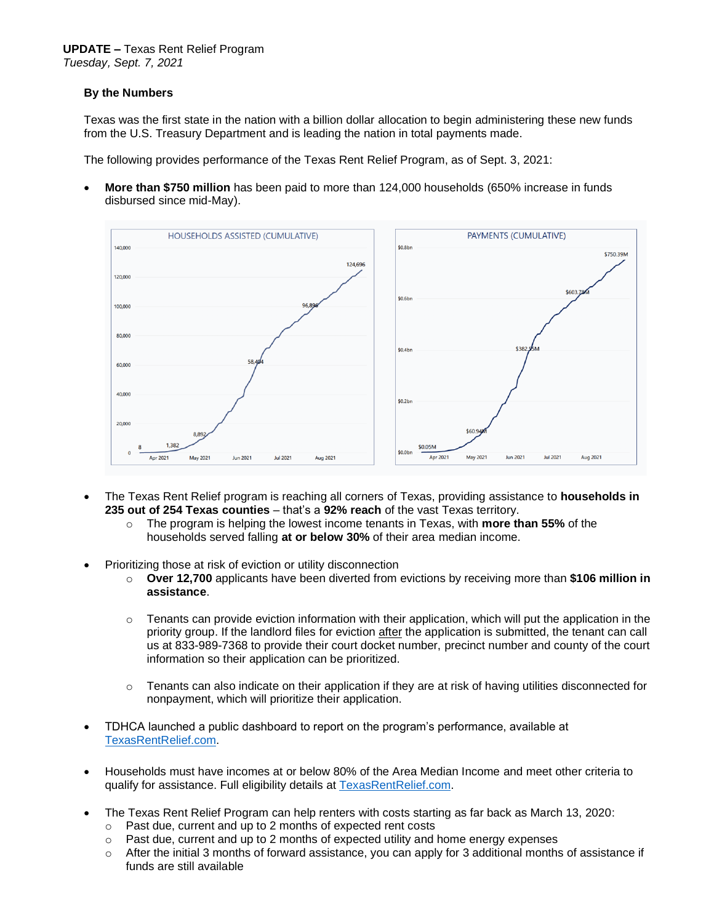## **By the Numbers**

Texas was the first state in the nation with a billion dollar allocation to begin administering these new funds from the U.S. Treasury Department and is leading the nation in total payments made.

The following provides performance of the Texas Rent Relief Program, as of Sept. 3, 2021:

• **More than \$750 million** has been paid to more than 124,000 households (650% increase in funds disbursed since mid-May).



- The Texas Rent Relief program is reaching all corners of Texas, providing assistance to **households in 235 out of 254 Texas counties** – that's a **92% reach** of the vast Texas territory.
	- o The program is helping the lowest income tenants in Texas, with **more than 55%** of the households served falling **at or below 30%** of their area median income.
- Prioritizing those at risk of eviction or utility disconnection
	- o **Over 12,700** applicants have been diverted from evictions by receiving more than **\$106 million in assistance**.
	- $\circ$  Tenants can provide eviction information with their application, which will put the application in the priority group. If the landlord files for eviction after the application is submitted, the tenant can call us at 833-989-7368 to provide their court docket number, precinct number and county of the court information so their application can be prioritized.
	- $\circ$  Tenants can also indicate on their application if they are at risk of having utilities disconnected for nonpayment, which will prioritize their application.
- TDHCA launched a public dashboard to report on the program's performance, available at [TexasRentRelief.com.](https://texasrentrelief.com/)
- Households must have incomes at or below 80% of the Area Median Income and meet other criteria to qualify for assistance. Full eligibility details at [TexasRentRelief.com.](https://texasrentrelief.com/)
- The Texas Rent Relief Program can help renters with costs starting as far back as March 13, 2020:
	- o Past due, current and up to 2 months of expected rent costs
	- $\circ$  Past due, current and up to 2 months of expected utility and home energy expenses
	- $\circ$  After the initial 3 months of forward assistance, you can apply for 3 additional months of assistance if funds are still available